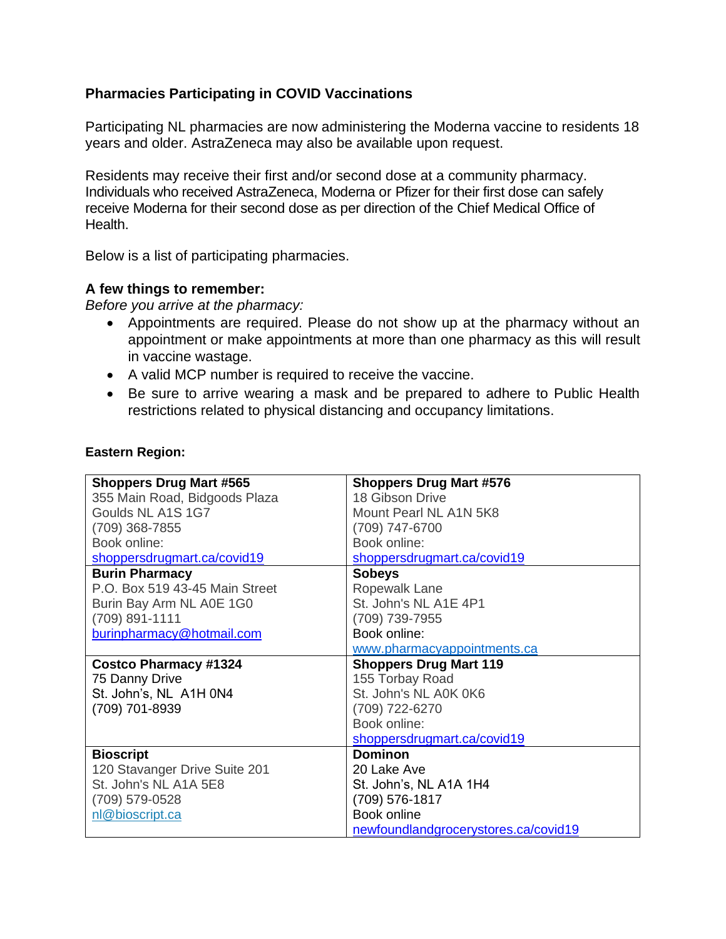## **Pharmacies Participating in COVID Vaccinations**

Participating NL pharmacies are now administering the Moderna vaccine to residents 18 years and older. AstraZeneca may also be available upon request.

Residents may receive their first and/or second dose at a community pharmacy. Individuals who received AstraZeneca, Moderna or Pfizer for their first dose can safely receive Moderna for their second dose as per direction of the Chief Medical Office of Health.

Below is a list of participating pharmacies.

## **A few things to remember:**

*Before you arrive at the pharmacy:*

- Appointments are required. Please do not show up at the pharmacy without an appointment or make appointments at more than one pharmacy as this will result in vaccine wastage.
- A valid MCP number is required to receive the vaccine.
- Be sure to arrive wearing a mask and be prepared to adhere to Public Health restrictions related to physical distancing and occupancy limitations.

## **Eastern Region:**

| <b>Shoppers Drug Mart #565</b> | <b>Shoppers Drug Mart #576</b> |
|--------------------------------|--------------------------------|
| 355 Main Road, Bidgoods Plaza  | 18 Gibson Drive                |
| Goulds NL A1S 1G7              | Mount Pearl NL A1N 5K8         |
| (709) 368-7855                 | (709) 747-6700                 |
| Book online:                   | Book online:                   |
| shoppersdrugmart.ca/covid19    | shoppersdrugmart.ca/covid19    |
| <b>Burin Pharmacy</b>          | <b>Sobeys</b>                  |
| P.O. Box 519 43-45 Main Street | Ropewalk Lane                  |
| Burin Bay Arm NL A0E 1G0       | St. John's NL A1E 4P1          |
| (709) 891-1111                 | (709) 739-7955                 |
| burinpharmacy@hotmail.com      | Book online:                   |
|                                | www.pharmacyappointments.ca    |
| <b>Costco Pharmacy #1324</b>   | <b>Shoppers Drug Mart 119</b>  |
| 75 Danny Drive                 | 155 Torbay Road                |
| St. John's, NL A1H 0N4         | St. John's NL A0K 0K6          |
| (709) 701-8939                 | (709) 722-6270                 |
|                                | Book online:                   |
|                                | shoppersdrugmart.ca/covid19    |
| <b>Bioscript</b>               | <b>Dominon</b>                 |
| 120 Stavanger Drive Suite 201  | 20 Lake Ave                    |
|                                |                                |
| St. John's NL A1A 5E8          | St. John's, NL A1A 1H4         |
| (709) 579-0528                 | (709) 576-1817                 |
| nl@bioscript.ca                | Book online                    |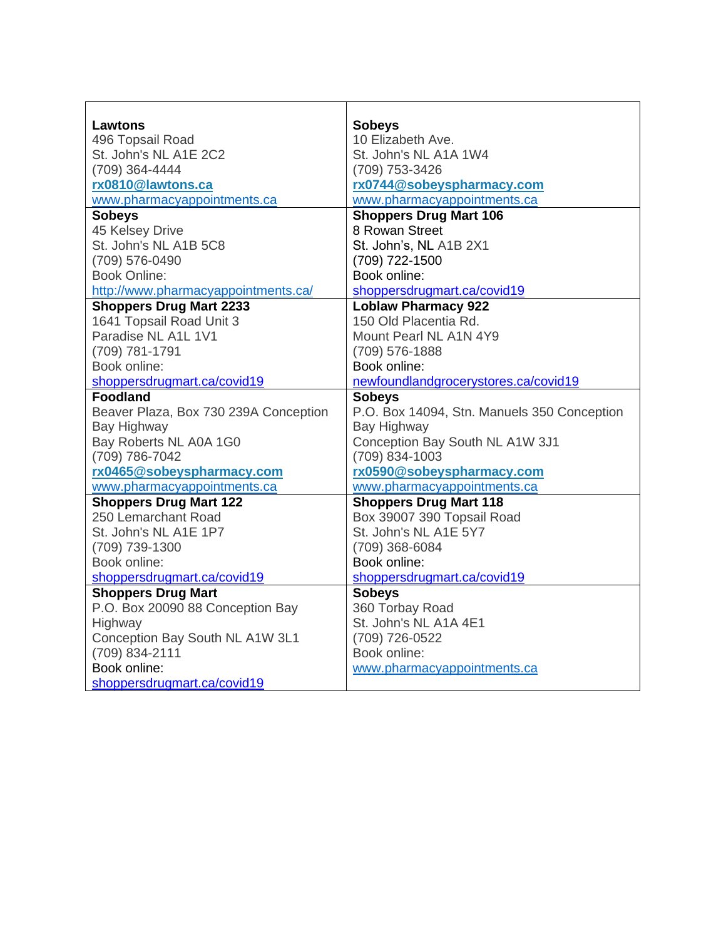| Lawtons                               | <b>Sobeys</b>                               |
|---------------------------------------|---------------------------------------------|
| 496 Topsail Road                      | 10 Elizabeth Ave.                           |
| St. John's NL A1E 2C2                 | St. John's NL A1A 1W4                       |
| (709) 364-4444                        | (709) 753-3426                              |
| rx0810@lawtons.ca                     | rx0744@sobeyspharmacy.com                   |
| www.pharmacyappointments.ca           | www.pharmacyappointments.ca                 |
| <b>Sobeys</b>                         | <b>Shoppers Drug Mart 106</b>               |
| 45 Kelsey Drive                       | 8 Rowan Street                              |
| St. John's NL A1B 5C8                 | St. John's, NL A1B 2X1                      |
| (709) 576-0490                        | (709) 722-1500                              |
| <b>Book Online:</b>                   | Book online:                                |
| http://www.pharmacyappointments.ca/   | shoppersdrugmart.ca/covid19                 |
| <b>Shoppers Drug Mart 2233</b>        | <b>Loblaw Pharmacy 922</b>                  |
| 1641 Topsail Road Unit 3              | 150 Old Placentia Rd.                       |
| Paradise NL A1L 1V1                   | Mount Pearl NL A1N 4Y9                      |
| (709) 781-1791                        | (709) 576-1888                              |
| Book online:                          | Book online:                                |
| shoppersdrugmart.ca/covid19           | newfoundlandgrocerystores.ca/covid19        |
| <b>Foodland</b>                       | <b>Sobeys</b>                               |
| Beaver Plaza, Box 730 239A Conception | P.O. Box 14094, Stn. Manuels 350 Conception |
| Bay Highway                           | Bay Highway                                 |
| Bay Roberts NL A0A 1G0                | Conception Bay South NL A1W 3J1             |
| (709) 786-7042                        | (709) 834-1003                              |
| rx0465@sobeyspharmacy.com             | rx0590@sobeyspharmacy.com                   |
| www.pharmacyappointments.ca           | www.pharmacyappointments.ca                 |
| <b>Shoppers Drug Mart 122</b>         | <b>Shoppers Drug Mart 118</b>               |
| 250 Lemarchant Road                   | Box 39007 390 Topsail Road                  |
| St. John's NL A1E 1P7                 | St. John's NL A1E 5Y7                       |
| (709) 739-1300                        | (709) 368-6084                              |
| Book online:                          | Book online:                                |
| shoppersdrugmart.ca/covid19           | shoppersdrugmart.ca/covid19                 |
| <b>Shoppers Drug Mart</b>             | <b>Sobeys</b>                               |
| P.O. Box 20090 88 Conception Bay      | 360 Torbay Road                             |
| Highway                               | St. John's NL A1A 4E1                       |
| Conception Bay South NL A1W 3L1       | (709) 726-0522                              |
| (709) 834-2111                        | Book online:                                |
| Book online:                          | www.pharmacyappointments.ca                 |
| shoppersdrugmart.ca/covid19           |                                             |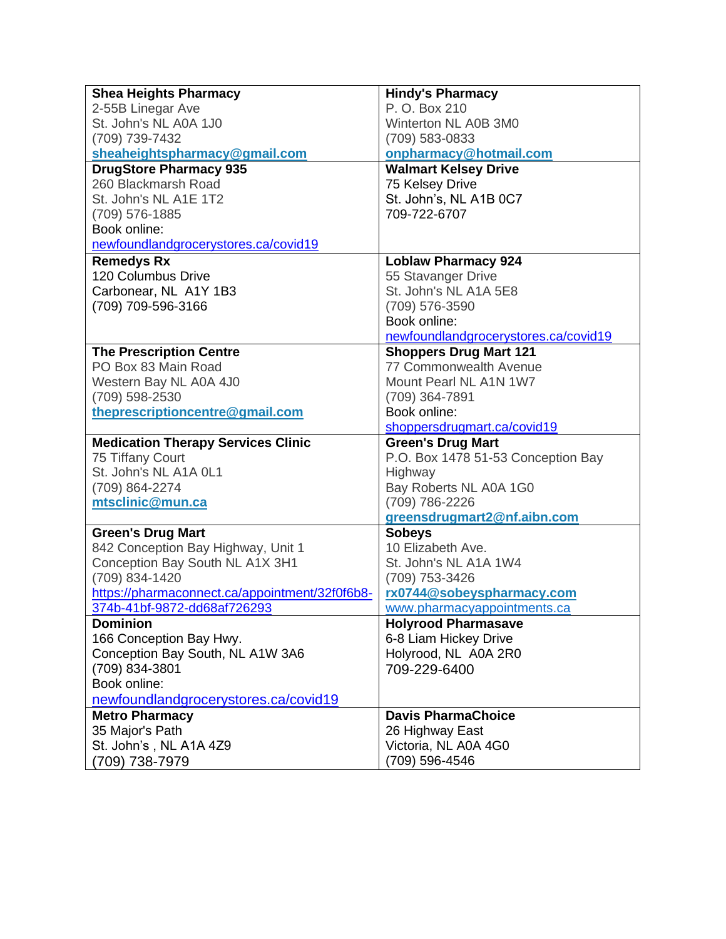| <b>Shea Heights Pharmacy</b>                   | <b>Hindy's Pharmacy</b>              |
|------------------------------------------------|--------------------------------------|
| 2-55B Linegar Ave                              | P. O. Box 210                        |
| St. John's NL A0A 1J0                          | Winterton NL A0B 3M0                 |
| (709) 739-7432                                 | (709) 583-0833                       |
| sheaheightspharmacy@gmail.com                  | onpharmacy@hotmail.com               |
| <b>DrugStore Pharmacy 935</b>                  | <b>Walmart Kelsey Drive</b>          |
| 260 Blackmarsh Road                            | 75 Kelsey Drive                      |
| St. John's NL A1E 1T2                          | St. John's, NL A1B 0C7               |
| (709) 576-1885                                 | 709-722-6707                         |
| Book online:                                   |                                      |
| newfoundlandgrocerystores.ca/covid19           |                                      |
| <b>Remedys Rx</b>                              | <b>Loblaw Pharmacy 924</b>           |
| 120 Columbus Drive                             | 55 Stavanger Drive                   |
| Carbonear, NL A1Y 1B3                          | St. John's NL A1A 5E8                |
| (709) 709-596-3166                             | (709) 576-3590                       |
|                                                | Book online:                         |
|                                                | newfoundlandgrocerystores.ca/covid19 |
| <b>The Prescription Centre</b>                 | <b>Shoppers Drug Mart 121</b>        |
| PO Box 83 Main Road                            | 77 Commonwealth Avenue               |
| Western Bay NL A0A 4J0                         | Mount Pearl NL A1N 1W7               |
| (709) 598-2530                                 | (709) 364-7891                       |
| theprescriptioncentre@gmail.com                | Book online:                         |
|                                                | shoppersdrugmart.ca/covid19          |
| <b>Medication Therapy Services Clinic</b>      | <b>Green's Drug Mart</b>             |
| 75 Tiffany Court                               | P.O. Box 1478 51-53 Conception Bay   |
| St. John's NL A1A 0L1                          | Highway                              |
| (709) 864-2274                                 | Bay Roberts NL A0A 1G0               |
| mtsclinic@mun.ca                               | (709) 786-2226                       |
|                                                | greensdrugmart2@nf.aibn.com          |
| <b>Green's Drug Mart</b>                       | <b>Sobeys</b>                        |
| 842 Conception Bay Highway, Unit 1             | 10 Elizabeth Ave.                    |
| Conception Bay South NL A1X 3H1                | St. John's NL A1A 1W4                |
| (709) 834-1420                                 | (709) 753-3426                       |
| https://pharmaconnect.ca/appointment/32f0f6b8- | rx0744@sobeyspharmacy.com            |
| 374b-41bf-9872-dd68af726293                    | www.pharmacyappointments.ca          |
| <b>Dominion</b>                                | <b>Holyrood Pharmasave</b>           |
| 166 Conception Bay Hwy.                        | 6-8 Liam Hickey Drive                |
| Conception Bay South, NL A1W 3A6               | Holyrood, NL A0A 2R0                 |
| (709) 834-3801                                 | 709-229-6400                         |
| Book online:                                   |                                      |
| newfoundlandgrocerystores.ca/covid19           |                                      |
| <b>Metro Pharmacy</b>                          | <b>Davis PharmaChoice</b>            |
| 35 Major's Path                                | 26 Highway East                      |
| St. John's, NL A1A 4Z9                         | Victoria, NL A0A 4G0                 |
| (709) 738-7979                                 | (709) 596-4546                       |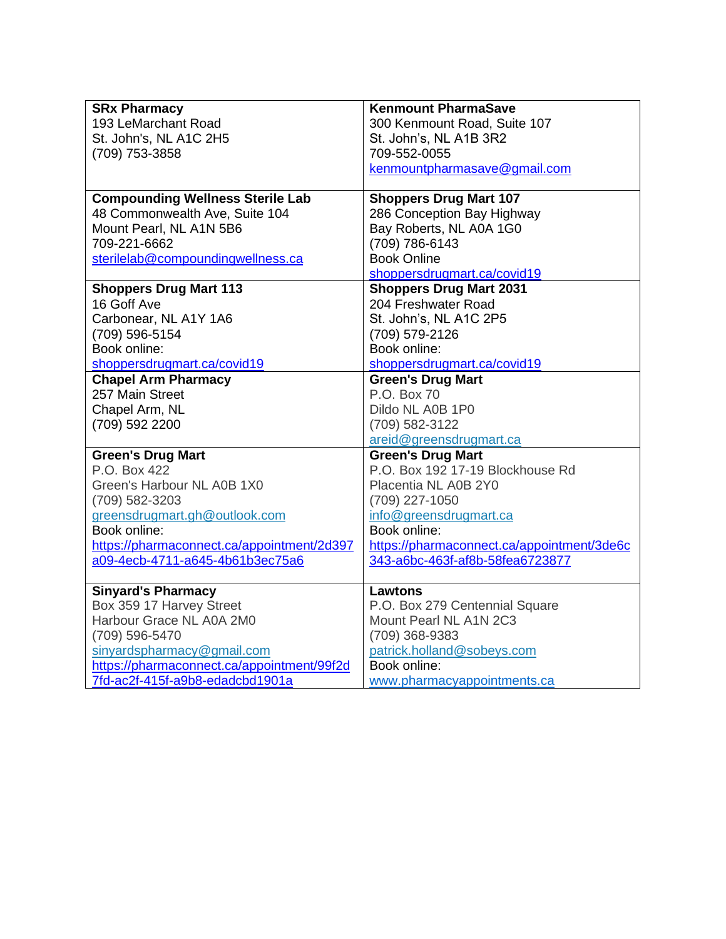| <b>SRx Pharmacy</b>                        | <b>Kenmount PharmaSave</b>                 |
|--------------------------------------------|--------------------------------------------|
| 193 LeMarchant Road                        | 300 Kenmount Road, Suite 107               |
| St. John's, NL A1C 2H5                     | St. John's, NL A1B 3R2                     |
| (709) 753-3858                             | 709-552-0055                               |
|                                            | kenmountpharmasave@gmail.com               |
|                                            |                                            |
| <b>Compounding Wellness Sterile Lab</b>    | <b>Shoppers Drug Mart 107</b>              |
| 48 Commonwealth Ave, Suite 104             | 286 Conception Bay Highway                 |
| Mount Pearl, NL A1N 5B6                    | Bay Roberts, NL A0A 1G0                    |
| 709-221-6662                               | (709) 786-6143                             |
| sterilelab@compoundingwellness.ca          | <b>Book Online</b>                         |
|                                            | shoppersdrugmart.ca/covid19                |
| <b>Shoppers Drug Mart 113</b>              | <b>Shoppers Drug Mart 2031</b>             |
| 16 Goff Ave                                | 204 Freshwater Road                        |
| Carbonear, NL A1Y 1A6                      | St. John's, NL A1C 2P5                     |
| (709) 596-5154                             | (709) 579-2126                             |
| Book online:                               | Book online:                               |
| shoppersdrugmart.ca/covid19                | shoppersdrugmart.ca/covid19                |
| <b>Chapel Arm Pharmacy</b>                 | <b>Green's Drug Mart</b>                   |
| 257 Main Street                            | P.O. Box 70                                |
| Chapel Arm, NL                             | Dildo NL A0B 1P0                           |
| (709) 592 2200                             | (709) 582-3122                             |
|                                            | areid@greensdrugmart.ca                    |
| <b>Green's Drug Mart</b>                   | <b>Green's Drug Mart</b>                   |
| P.O. Box 422                               | P.O. Box 192 17-19 Blockhouse Rd           |
| Green's Harbour NL A0B 1X0                 | Placentia NL A0B 2Y0                       |
| (709) 582-3203                             | (709) 227-1050                             |
| greensdrugmart.gh@outlook.com              | info@greensdrugmart.ca                     |
| Book online:                               | Book online:                               |
| https://pharmaconnect.ca/appointment/2d397 | https://pharmaconnect.ca/appointment/3de6c |
| a09-4ecb-4711-a645-4b61b3ec75a6            | 343-a6bc-463f-af8b-58fea6723877            |
|                                            |                                            |
| <b>Sinyard's Pharmacy</b>                  | <b>Lawtons</b>                             |
| Box 359 17 Harvey Street                   | P.O. Box 279 Centennial Square             |
| Harbour Grace NL A0A 2M0                   | Mount Pearl NL A1N 2C3                     |
| (709) 596-5470                             | (709) 368-9383                             |
| sinyardspharmacy@gmail.com                 | patrick.holland@sobeys.com                 |
| https://pharmaconnect.ca/appointment/99f2d | Book online:                               |
| 7fd-ac2f-415f-a9b8-edadcbd1901a            | www.pharmacyappointments.ca                |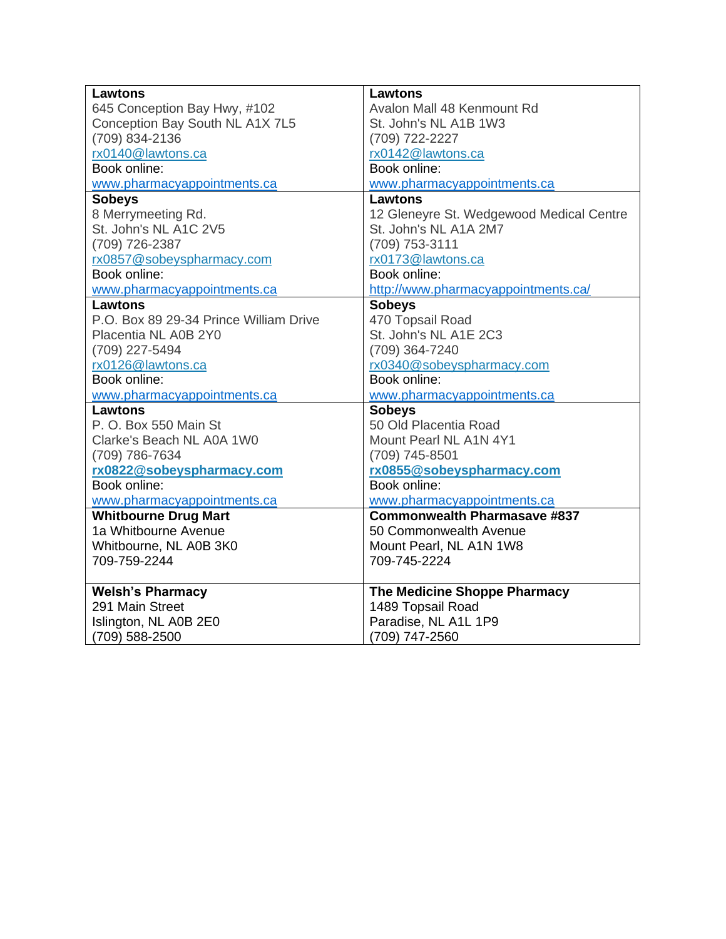| Lawtons                                | <b>Lawtons</b>                           |
|----------------------------------------|------------------------------------------|
| 645 Conception Bay Hwy, #102           | Avalon Mall 48 Kenmount Rd               |
| Conception Bay South NL A1X 7L5        | St. John's NL A1B 1W3                    |
| (709) 834-2136                         | (709) 722-2227                           |
| rx0140@lawtons.ca                      | rx0142@lawtons.ca                        |
| Book online:                           | Book online:                             |
| www.pharmacyappointments.ca            | www.pharmacyappointments.ca              |
| <b>Sobeys</b>                          | <b>Lawtons</b>                           |
| 8 Merrymeeting Rd.                     | 12 Gleneyre St. Wedgewood Medical Centre |
| St. John's NL A1C 2V5                  | St. John's NL A1A 2M7                    |
| (709) 726-2387                         | (709) 753-3111                           |
| rx0857@sobeyspharmacy.com              | rx0173@lawtons.ca                        |
| Book online:                           | Book online:                             |
| www.pharmacyappointments.ca            | http://www.pharmacyappointments.ca/      |
| <b>Lawtons</b>                         | <b>Sobeys</b>                            |
| P.O. Box 89 29-34 Prince William Drive | 470 Topsail Road                         |
| Placentia NL A0B 2Y0                   | St. John's NL A1E 2C3                    |
| (709) 227-5494                         | (709) 364-7240                           |
| rx0126@lawtons.ca                      | rx0340@sobeyspharmacy.com                |
| Book online:                           | Book online:                             |
| www.pharmacyappointments.ca            | www.pharmacyappointments.ca              |
| <b>Lawtons</b>                         | <b>Sobeys</b>                            |
| P.O. Box 550 Main St                   | 50 Old Placentia Road                    |
| Clarke's Beach NL A0A 1W0              | Mount Pearl NL A1N 4Y1                   |
| (709) 786-7634                         | (709) 745-8501                           |
| rx0822@sobeyspharmacy.com              | rx0855@sobeyspharmacy.com                |
| Book online:                           | Book online:                             |
| www.pharmacyappointments.ca            | www.pharmacyappointments.ca              |
| <b>Whitbourne Drug Mart</b>            | <b>Commonwealth Pharmasave #837</b>      |
| 1a Whitbourne Avenue                   | 50 Commonwealth Avenue                   |
| Whitbourne, NL A0B 3K0                 | Mount Pearl, NL A1N 1W8                  |
| 709-759-2244                           | 709-745-2224                             |
| <b>Welsh's Pharmacy</b>                | The Medicine Shoppe Pharmacy             |
| 291 Main Street                        | 1489 Topsail Road                        |
| Islington, NL A0B 2E0                  | Paradise, NL A1L 1P9                     |
| (709) 588-2500                         | (709) 747-2560                           |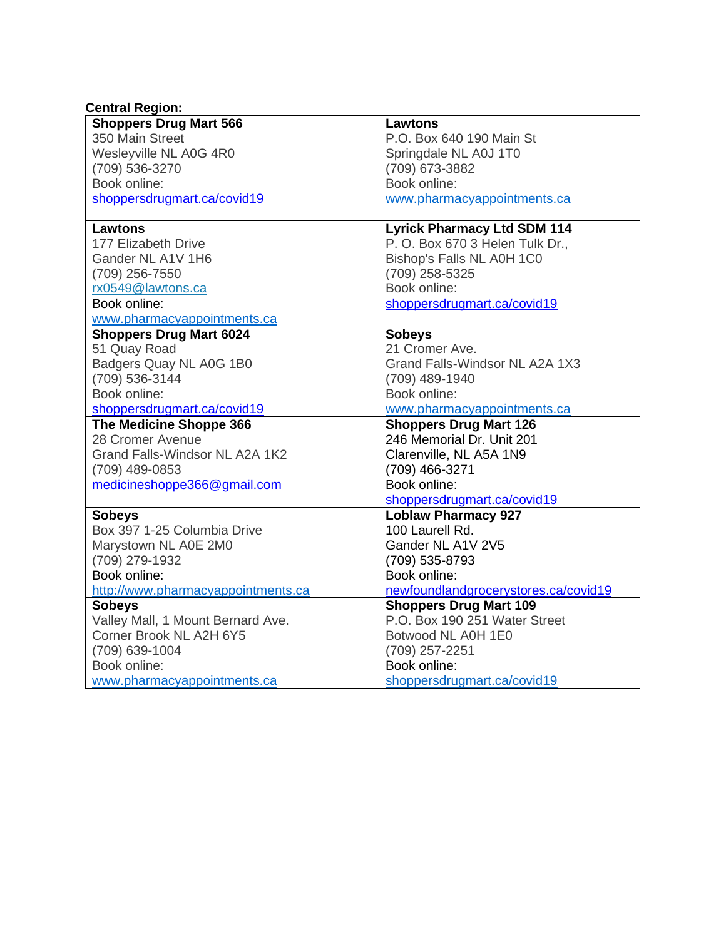| <b>Central Region:</b>             |                                      |
|------------------------------------|--------------------------------------|
| <b>Shoppers Drug Mart 566</b>      | <b>Lawtons</b>                       |
| 350 Main Street                    | P.O. Box 640 190 Main St             |
| Wesleyville NL A0G 4R0             | Springdale NL A0J 1T0                |
| (709) 536-3270                     | (709) 673-3882                       |
| Book online:                       | Book online:                         |
| shoppersdrugmart.ca/covid19        | www.pharmacyappointments.ca          |
| <b>Lawtons</b>                     | <b>Lyrick Pharmacy Ltd SDM 114</b>   |
| 177 Elizabeth Drive                | P. O. Box 670 3 Helen Tulk Dr.,      |
| Gander NL A1V 1H6                  | Bishop's Falls NL A0H 1C0            |
| (709) 256-7550                     | (709) 258-5325                       |
| rx0549@lawtons.ca                  | Book online:                         |
| Book online:                       | shoppersdrugmart.ca/covid19          |
| www.pharmacyappointments.ca        |                                      |
| <b>Shoppers Drug Mart 6024</b>     | <b>Sobeys</b>                        |
| 51 Quay Road                       | 21 Cromer Ave.                       |
| Badgers Quay NL A0G 1B0            | Grand Falls-Windsor NL A2A 1X3       |
| (709) 536-3144                     | (709) 489-1940                       |
| Book online:                       | Book online:                         |
| shoppersdrugmart.ca/covid19        | www.pharmacyappointments.ca          |
| The Medicine Shoppe 366            | <b>Shoppers Drug Mart 126</b>        |
| 28 Cromer Avenue                   | 246 Memorial Dr. Unit 201            |
| Grand Falls-Windsor NL A2A 1K2     | Clarenville, NL A5A 1N9              |
| (709) 489-0853                     | (709) 466-3271                       |
| medicineshoppe366@gmail.com        | Book online:                         |
|                                    | shoppersdrugmart.ca/covid19          |
| <b>Sobeys</b>                      | <b>Loblaw Pharmacy 927</b>           |
| Box 397 1-25 Columbia Drive        | 100 Laurell Rd.                      |
| Marystown NL A0E 2M0               | Gander NL A1V 2V5                    |
| (709) 279-1932                     | (709) 535-8793                       |
| Book online:                       | Book online:                         |
| http://www.pharmacyappointments.ca | newfoundlandgrocerystores.ca/covid19 |
| <b>Sobeys</b>                      | <b>Shoppers Drug Mart 109</b>        |
| Valley Mall, 1 Mount Bernard Ave.  | P.O. Box 190 251 Water Street        |
| Corner Brook NL A2H 6Y5            | Botwood NL A0H 1E0                   |
| (709) 639-1004                     | (709) 257-2251                       |
| Book online:                       | Book online:                         |
| www.pharmacyappointments.ca        | shoppersdrugmart.ca/covid19          |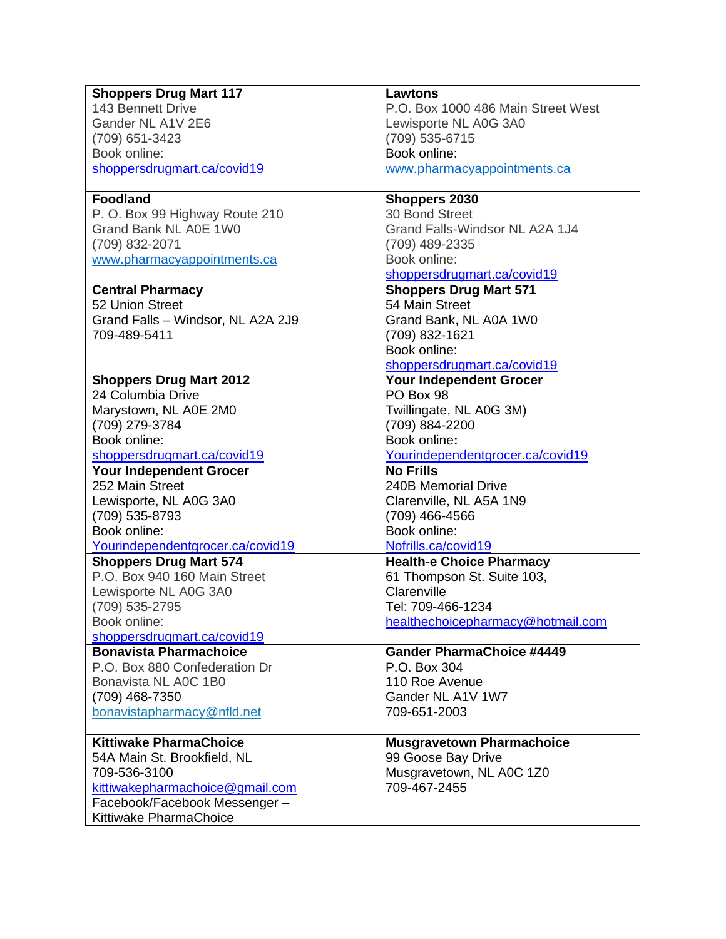| <b>Shoppers Drug Mart 117</b>     | <b>Lawtons</b>                     |
|-----------------------------------|------------------------------------|
| 143 Bennett Drive                 | P.O. Box 1000 486 Main Street West |
| Gander NL A1V 2E6                 | Lewisporte NL A0G 3A0              |
| (709) 651-3423                    | (709) 535-6715                     |
| Book online:                      | Book online:                       |
| shoppersdrugmart.ca/covid19       | www.pharmacyappointments.ca        |
|                                   |                                    |
| <b>Foodland</b>                   | <b>Shoppers 2030</b>               |
| P. O. Box 99 Highway Route 210    | 30 Bond Street                     |
| Grand Bank NL A0E 1W0             | Grand Falls-Windsor NL A2A 1J4     |
| (709) 832-2071                    | (709) 489-2335                     |
| www.pharmacyappointments.ca       | Book online:                       |
|                                   | shoppersdrugmart.ca/covid19        |
| <b>Central Pharmacy</b>           | <b>Shoppers Drug Mart 571</b>      |
| 52 Union Street                   | 54 Main Street                     |
| Grand Falls - Windsor, NL A2A 2J9 | Grand Bank, NL A0A 1W0             |
| 709-489-5411                      | (709) 832-1621                     |
|                                   | Book online:                       |
|                                   | shoppersdrugmart.ca/covid19        |
| <b>Shoppers Drug Mart 2012</b>    | Your Independent Grocer            |
| 24 Columbia Drive                 | PO Box 98                          |
| Marystown, NL A0E 2M0             | Twillingate, NL A0G 3M)            |
| (709) 279-3784                    | (709) 884-2200                     |
| Book online:                      | Book online:                       |
| shoppersdrugmart.ca/covid19       | Yourindependentgrocer.ca/covid19   |
| Your Independent Grocer           | <b>No Frills</b>                   |
| 252 Main Street                   | 240B Memorial Drive                |
| Lewisporte, NL A0G 3A0            | Clarenville, NL A5A 1N9            |
| (709) 535-8793                    | (709) 466-4566                     |
| Book online:                      | Book online:                       |
| Yourindependentgrocer.ca/covid19  | Nofrills.ca/covid19                |
| <b>Shoppers Drug Mart 574</b>     | <b>Health-e Choice Pharmacy</b>    |
| P.O. Box 940 160 Main Street      | 61 Thompson St. Suite 103,         |
| Lewisporte NL A0G 3A0             | Clarenville                        |
| (709) 535-2795                    | Tel: 709-466-1234                  |
| Book online:                      | healthechoicepharmacy@hotmail.com  |
| shoppersdrugmart.ca/covid19       |                                    |
| <b>Bonavista Pharmachoice</b>     | <b>Gander PharmaChoice #4449</b>   |
| P.O. Box 880 Confederation Dr     | P.O. Box 304                       |
| Bonavista NL A0C 1B0              | 110 Roe Avenue                     |
| (709) 468-7350                    | Gander NL A1V 1W7                  |
| bonavistapharmacy@nfld.net        | 709-651-2003                       |
|                                   |                                    |
| <b>Kittiwake PharmaChoice</b>     | <b>Musgravetown Pharmachoice</b>   |
| 54A Main St. Brookfield, NL       | 99 Goose Bay Drive                 |
| 709-536-3100                      | Musgravetown, NL A0C 1Z0           |
| kittiwakepharmachoice@gmail.com   | 709-467-2455                       |
| Facebook/Facebook Messenger -     |                                    |
| Kittiwake PharmaChoice            |                                    |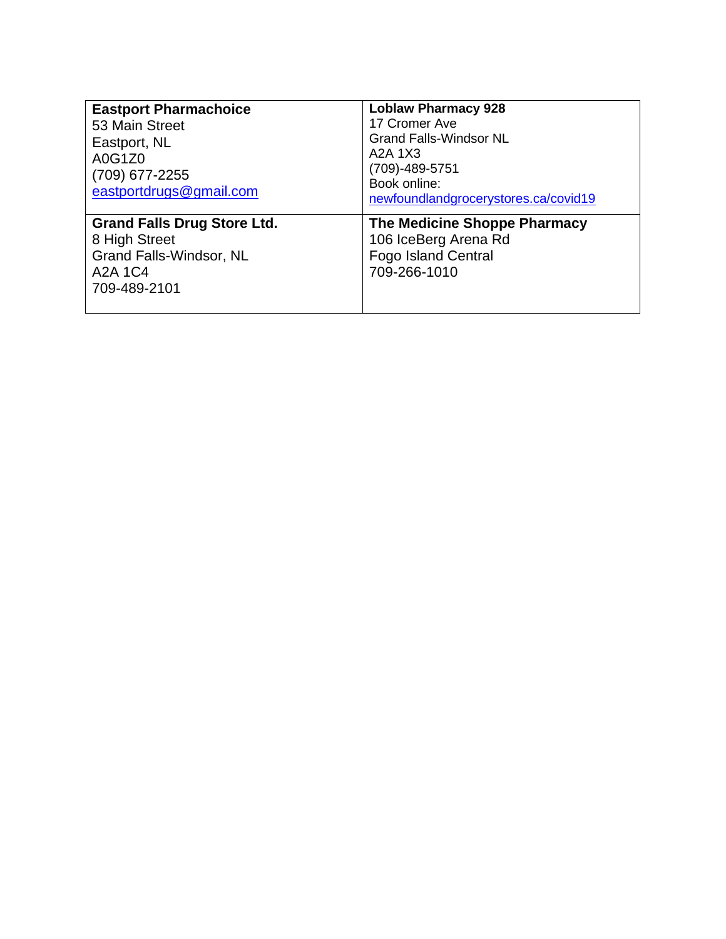| <b>Eastport Pharmachoice</b><br>53 Main Street<br>Eastport, NL<br>A0G1Z0<br>(709) 677-2255<br>eastportdrugs@gmail.com | <b>Loblaw Pharmacy 928</b><br>17 Cromer Ave<br><b>Grand Falls-Windsor NL</b><br>A2A 1X3<br>$(709) - 489 - 5751$<br>Book online:<br>newfoundlandgrocerystores.ca/covid19 |
|-----------------------------------------------------------------------------------------------------------------------|-------------------------------------------------------------------------------------------------------------------------------------------------------------------------|
| <b>Grand Falls Drug Store Ltd.</b><br>8 High Street<br><b>Grand Falls-Windsor, NL</b><br>A2A 1C4<br>709-489-2101      | The Medicine Shoppe Pharmacy<br>106 IceBerg Arena Rd<br><b>Fogo Island Central</b><br>709-266-1010                                                                      |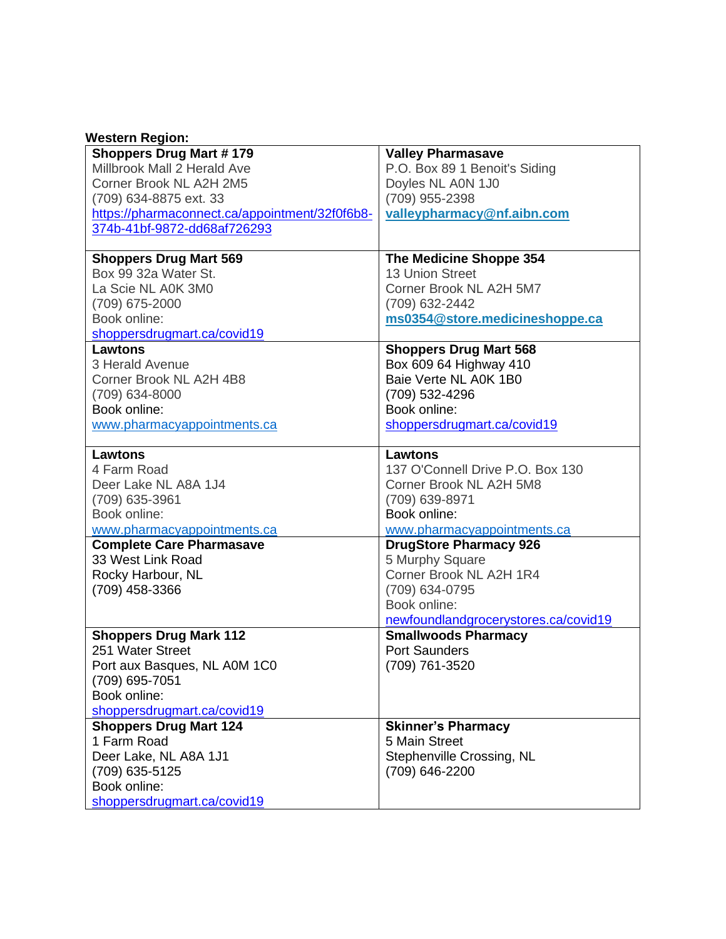| <b>Western Region:</b>                         |                                      |
|------------------------------------------------|--------------------------------------|
| <b>Shoppers Drug Mart #179</b>                 | <b>Valley Pharmasave</b>             |
| Millbrook Mall 2 Herald Ave                    | P.O. Box 89 1 Benoit's Siding        |
| Corner Brook NL A2H 2M5                        | Doyles NL A0N 1J0                    |
| (709) 634-8875 ext. 33                         | (709) 955-2398                       |
| https://pharmaconnect.ca/appointment/32f0f6b8- | valleypharmacy@nf.aibn.com           |
| 374b-41bf-9872-dd68af726293                    |                                      |
| <b>Shoppers Drug Mart 569</b>                  | The Medicine Shoppe 354              |
| Box 99 32a Water St.                           | <b>13 Union Street</b>               |
| La Scie NL A0K 3M0                             | Corner Brook NL A2H 5M7              |
| (709) 675-2000                                 | (709) 632-2442                       |
| Book online:                                   | ms0354@store.medicineshoppe.ca       |
| shoppersdrugmart.ca/covid19                    |                                      |
| Lawtons                                        | <b>Shoppers Drug Mart 568</b>        |
| 3 Herald Avenue                                | Box 609 64 Highway 410               |
| Corner Brook NL A2H 4B8                        | Baie Verte NL A0K 1B0                |
| (709) 634-8000                                 | (709) 532-4296                       |
| Book online:                                   | Book online:                         |
| www.pharmacyappointments.ca                    | shoppersdrugmart.ca/covid19          |
| <b>Lawtons</b>                                 | <b>Lawtons</b>                       |
| 4 Farm Road                                    | 137 O'Connell Drive P.O. Box 130     |
| Deer Lake NL A8A 1J4                           | Corner Brook NL A2H 5M8              |
| (709) 635-3961                                 | (709) 639-8971                       |
| Book online:                                   | Book online:                         |
| www.pharmacyappointments.ca                    | www.pharmacyappointments.ca          |
| <b>Complete Care Pharmasave</b>                | <b>DrugStore Pharmacy 926</b>        |
| 33 West Link Road                              | 5 Murphy Square                      |
| Rocky Harbour, NL                              | Corner Brook NL A2H 1R4              |
| (709) 458-3366                                 | (709) 634-0795                       |
|                                                | Book online:                         |
|                                                | newfoundlandgrocerystores.ca/covid19 |
| <b>Shoppers Drug Mark 112</b>                  | <b>Smallwoods Pharmacy</b>           |
| 251 Water Street                               | <b>Port Saunders</b>                 |
| Port aux Basques, NL A0M 1C0                   | (709) 761-3520                       |
| (709) 695-7051                                 |                                      |
| Book online:                                   |                                      |
| shoppersdrugmart.ca/covid19                    |                                      |
| <b>Shoppers Drug Mart 124</b>                  | <b>Skinner's Pharmacy</b>            |
| 1 Farm Road                                    | 5 Main Street                        |
| Deer Lake, NL A8A 1J1                          | Stephenville Crossing, NL            |
| (709) 635-5125                                 | (709) 646-2200                       |
| Book online:                                   |                                      |
| shoppersdrugmart.ca/covid19                    |                                      |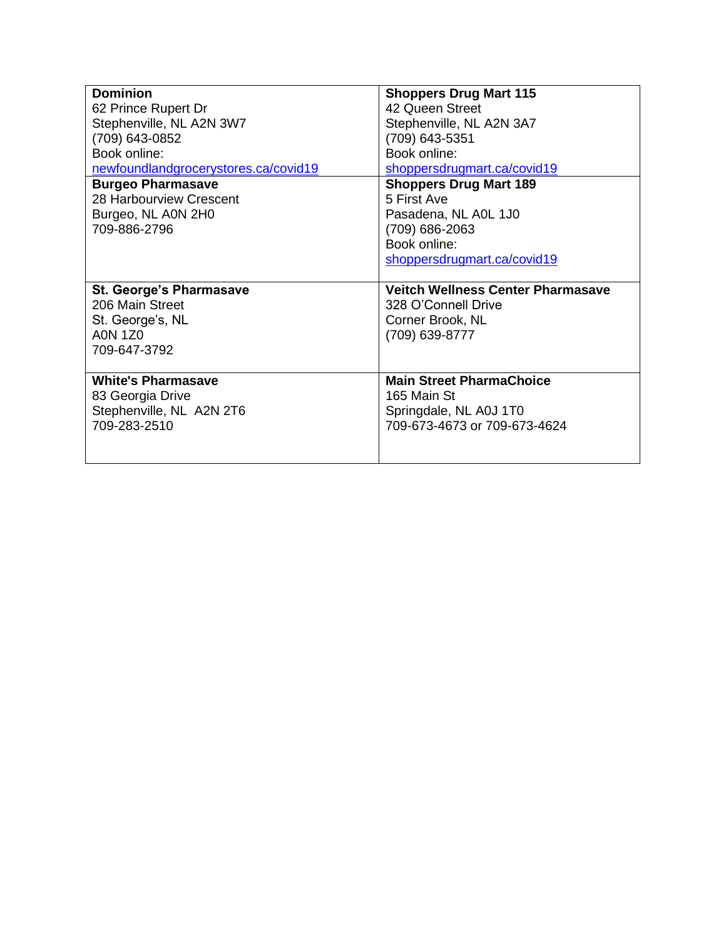| <b>Dominion</b>                                                                                         | <b>Shoppers Drug Mart 115</b>                                                                         |
|---------------------------------------------------------------------------------------------------------|-------------------------------------------------------------------------------------------------------|
| 62 Prince Rupert Dr                                                                                     | 42 Queen Street                                                                                       |
| Stephenville, NL A2N 3W7                                                                                | Stephenville, NL A2N 3A7                                                                              |
| (709) 643-0852                                                                                          | (709) 643-5351                                                                                        |
| Book online:                                                                                            | Book online:                                                                                          |
| newfoundlandgrocerystores.ca/covid19                                                                    | shoppersdrugmart.ca/covid19                                                                           |
| <b>Burgeo Pharmasave</b>                                                                                | <b>Shoppers Drug Mart 189</b>                                                                         |
| 28 Harbourview Crescent<br>Burgeo, NL A0N 2H0<br>709-886-2796                                           | 5 First Ave<br>Pasadena, NL A0L 1J0<br>(709) 686-2063<br>Book online:<br>shoppersdrugmart.ca/covid19  |
| <b>St. George's Pharmasave</b><br>206 Main Street<br>St. George's, NL<br><b>A0N 1Z0</b><br>709-647-3792 | <b>Veitch Wellness Center Pharmasave</b><br>328 O'Connell Drive<br>Corner Brook, NL<br>(709) 639-8777 |
| <b>White's Pharmasave</b>                                                                               | <b>Main Street PharmaChoice</b>                                                                       |
| 83 Georgia Drive                                                                                        | 165 Main St                                                                                           |
| Stephenville, NL A2N 2T6                                                                                | Springdale, NL A0J 1T0                                                                                |
| 709-283-2510                                                                                            | 709-673-4673 or 709-673-4624                                                                          |